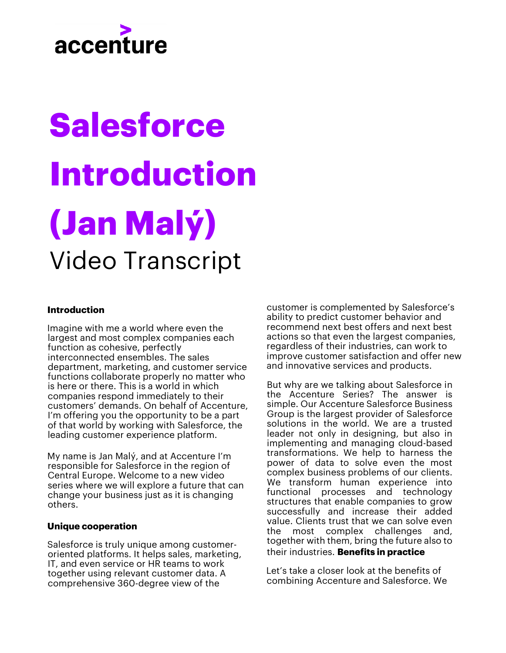## accenture

# **Salesforce Introduction (Jan Malý)** Video Transcript

#### **Introduction**

Imagine with me a world where even the largest and most complex companies each function as cohesive, perfectly interconnected ensembles. The sales department, marketing, and customer service functions collaborate properly no matter who is here or there. This is a world in which companies respond immediately to their customers' demands. On behalf of Accenture, I'm offering you the opportunity to be a part of that world by working with Salesforce, the leading customer experience platform.

My name is Jan Malý, and at Accenture I'm responsible for Salesforce in the region of Central Europe. Welcome to a new video series where we will explore a future that can change your business just as it is changing others.

#### **Unique cooperation**

Salesforce is truly unique among customeroriented platforms. It helps sales, marketing, IT, and even service or HR teams to work together using relevant customer data. A comprehensive 360-degree view of the

customer is complemented by Salesforce's ability to predict customer behavior and recommend next best offers and next best actions so that even the largest companies, regardless of their industries, can work to improve customer satisfaction and offer new and innovative services and products.

But why are we talking about Salesforce in the Accenture Series? The answer is simple. Our Accenture Salesforce Business Group is the largest provider of Salesforce solutions in the world. We are a trusted leader not only in designing, but also in implementing and managing cloud-based transformations. We help to harness the power of data to solve even the most complex business problems of our clients. We transform human experience into functional processes and technology structures that enable companies to grow successfully and increase their added value. Clients trust that we can solve even the most complex challenges and, together with them, bring the future also to their industries. **Benefits in practice**

Let's take a closer look at the benefits of combining Accenture and Salesforce. We